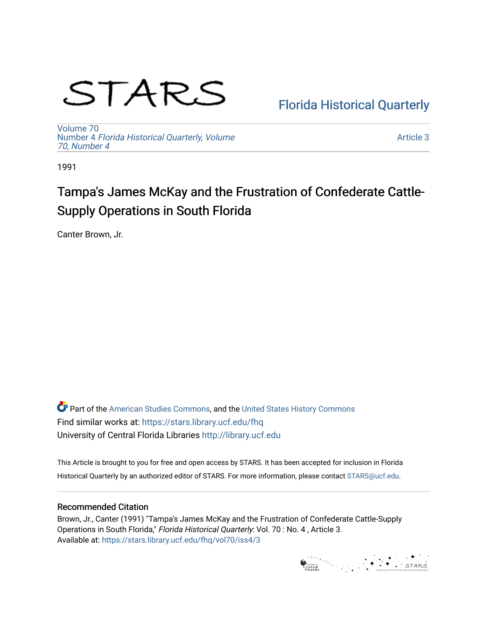# STARS

# [Florida Historical Quarterly](https://stars.library.ucf.edu/fhq)

[Volume 70](https://stars.library.ucf.edu/fhq/vol70) Number 4 [Florida Historical Quarterly, Volume](https://stars.library.ucf.edu/fhq/vol70/iss4)  [70, Number 4](https://stars.library.ucf.edu/fhq/vol70/iss4)

[Article 3](https://stars.library.ucf.edu/fhq/vol70/iss4/3) 

1991

# Tampa's James McKay and the Frustration of Confederate Cattle-Supply Operations in South Florida

Canter Brown, Jr.

**C** Part of the [American Studies Commons](http://network.bepress.com/hgg/discipline/439?utm_source=stars.library.ucf.edu%2Ffhq%2Fvol70%2Fiss4%2F3&utm_medium=PDF&utm_campaign=PDFCoverPages), and the United States History Commons Find similar works at: <https://stars.library.ucf.edu/fhq> University of Central Florida Libraries [http://library.ucf.edu](http://library.ucf.edu/) 

This Article is brought to you for free and open access by STARS. It has been accepted for inclusion in Florida Historical Quarterly by an authorized editor of STARS. For more information, please contact [STARS@ucf.edu.](mailto:STARS@ucf.edu)

# Recommended Citation

Brown, Jr., Canter (1991) "Tampa's James McKay and the Frustration of Confederate Cattle-Supply Operations in South Florida," Florida Historical Quarterly: Vol. 70 : No. 4 , Article 3. Available at: [https://stars.library.ucf.edu/fhq/vol70/iss4/3](https://stars.library.ucf.edu/fhq/vol70/iss4/3?utm_source=stars.library.ucf.edu%2Ffhq%2Fvol70%2Fiss4%2F3&utm_medium=PDF&utm_campaign=PDFCoverPages) 

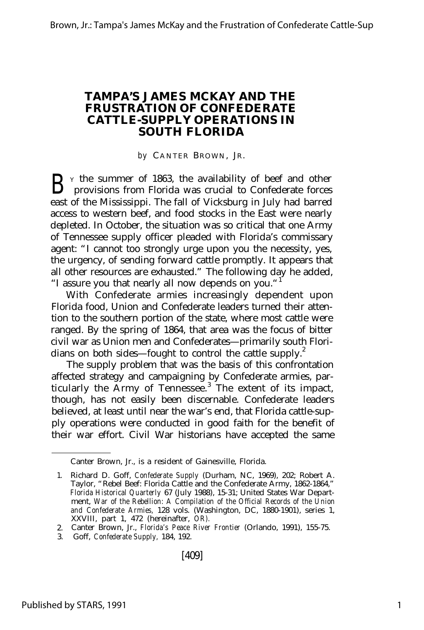# **TAMPA'S JAMES MCKAY AND THE FRUSTRATION OF CONFEDERATE CATTLE-SUPPLY OPERATIONS IN SOUTH FLORIDA**

*by* CANTER BROWN, JR.

B <sup>Y</sup> the summer of 1863, the availability of beef and other provisions from Florida was crucial to Confederate forces provisions from Florida was crucial to Confederate forces east of the Mississippi. The fall of Vicksburg in July had barred access to western beef, and food stocks in the East were nearly depleted. In October, the situation was so critical that one Army of Tennessee supply officer pleaded with Florida's commissary agent: "I cannot too strongly urge upon you the necessity, yes, the urgency, of sending forward cattle promptly. It appears that all other resources are exhausted." The following day he added, "I assure you that nearly all now depends on you."<sup>1</sup>

With Confederate armies increasingly dependent upon Florida food, Union and Confederate leaders turned their attention to the southern portion of the state, where most cattle were ranged. By the spring of 1864, that area was the focus of bitter civil war as Union men and Confederates— primarily south Floridians on both sides– fought to control the cattle supply.<sup>2</sup>

The supply problem that was the basis of this confrontation affected strategy and campaigning by Confederate armies, particularly the Army of Tennessee.<sup>3</sup> The extent of its impact, though, has not easily been discernable. Confederate leaders believed, at least until near the war's end, that Florida cattle-supply operations were conducted in good faith for the benefit of their war effort. Civil War historians have accepted the same

Canter Brown, Jr., is a resident of Gainesville, Florida.

<sup>1.</sup> Richard D. Goff, *Confederate Supply* (Durham, NC, 1969), 202; Robert A. Taylor, "Rebel Beef: Florida Cattle and the Confederate Army, 1862-1864," *Florida Historical Quarterly* 67 (July 1988), 15-31; United States War Department, *War of the Rebellion: A Compilation of the Official Records of the Union and Confederate Armies,* 128 vols. (Washington, DC, 1880-1901), series 1, XXVIII, part 1, 472 (hereinafter, *OR).*

<sup>2.</sup> Canter Brown, Jr., *Florida's Peace River Frontier* (Orlando, 1991), 155-75.

<sup>3.</sup> Goff, *Confederate Supply,* 184, 192.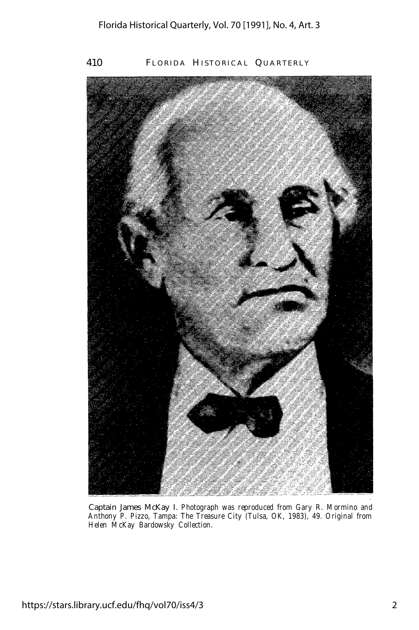

Captain James McKay I. *Photograph was reproduced from Gary R. Mormino and Anthony P. Pizzo, Tampa: The Treasure City (Tulsa, OK, 1983), 49. Original from Helen McKay Bardowsky Collection.*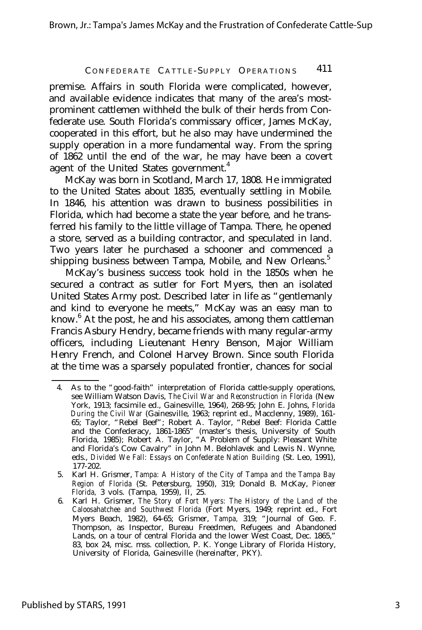premise. Affairs in south Florida were complicated, however, and available evidence indicates that many of the area's mostprominent cattlemen withheld the bulk of their herds from Confederate use. South Florida's commissary officer, James McKay, cooperated in this effort, but he also may have undermined the supply operation in a more fundamental way. From the spring of 1862 until the end of the war, he may have been a covert agent of the United States government.<sup>4</sup>

McKay was born in Scotland, March 17, 1808. He immigrated to the United States about 1835, eventually settling in Mobile. In 1846, his attention was drawn to business possibilities in Florida, which had become a state the year before, and he transferred his family to the little village of Tampa. There, he opened a store, served as a building contractor, and speculated in land. Two years later he purchased a schooner and commenced a shipping business between Tampa, Mobile, and New Orleans.<sup>5</sup>

McKay's business success took hold in the 1850s when he secured a contract as sutler for Fort Myers, then an isolated United States Army post. Described later in life as "gentlemanly and kind to everyone he meets," McKay was an easy man to know.<sup>6</sup> At the post, he and his associates, among them cattleman Francis Asbury Hendry, became friends with many regular-army officers, including Lieutenant Henry Benson, Major William Henry French, and Colonel Harvey Brown. Since south Florida at the time was a sparsely populated frontier, chances for social

<sup>4.</sup> As to the "good-faith" interpretation of Florida cattle-supply operations, see William Watson Davis, *The Civil War and Reconstruction in Florida* (New York, 1913; facsimile ed., Gainesville, 1964), 268-95; John E. Johns, *Florida During the Civil War* (Gainesville, 1963; reprint ed., Macclenny, 1989), 161- 65; Taylor, "Rebel Beef"; Robert A. Taylor, "Rebel Beef: Florida Cattle and the Confederacy, 1861-1865" (master's thesis, University of South Florida, 1985); Robert A. Taylor, "A Problem of Supply: Pleasant White and Florida's Cow Cavalry" in John M. Belohlavek and Lewis N. Wynne, eds., *Divided We Fall: Essays* on *Confederate Nation Building* (St. Leo, 1991), 177-202.

<sup>5.</sup> Karl H. Grismer, *Tampa: A History of the City of Tampa and the Tampa Bay Region of Florida* (St. Petersburg, 1950), 319; Donald B. McKay, *Pioneer Florida,* 3 vols. (Tampa, 1959), II, 25.

<sup>6.</sup> Karl H. Grismer, *The Story of Fort Myers: The History of the Land of the Caloosahatchee and Southwest Florida* (Fort Myers, 1949; reprint ed., Fort Myers Beach, 1982), 64-65; Grismer, *Tampa,* 319; "Journal of Geo. F. Thompson, as Inspector, Bureau Freedmen, Refugees and Abandoned Lands, on a tour of central Florida and the lower West Coast, Dec. 1865," 83, box 24, misc. mss. collection, P. K. Yonge Library of Florida History, University of Florida, Gainesville (hereinafter, PKY).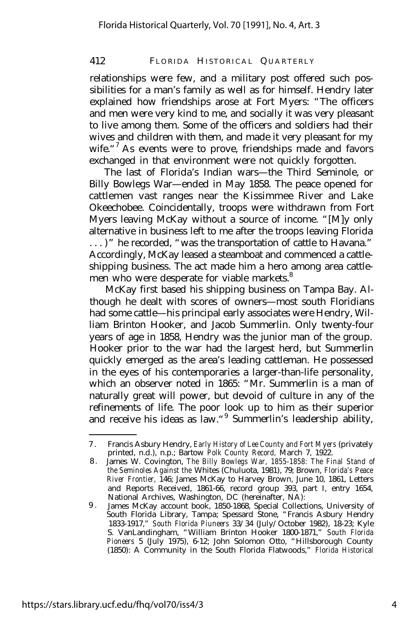relationships were few, and a military post offered such possibilities for a man's family as well as for himself. Hendry later explained how friendships arose at Fort Myers: "The officers and men were very kind to me, and socially it was very pleasant to live among them. Some of the officers and soldiers had their wives and children with them, and made it very pleasant for my wife.<sup>"7</sup> As events were to prove, friendships made and favors exchanged in that environment were not quickly forgotten.

The last of Florida's Indian wars— the Third Seminole, or Billy Bowlegs War— ended in May 1858. The peace opened for cattlemen vast ranges near the Kissimmee River and Lake Okeechobee. Coincidentally, troops were withdrawn from Fort Myers leaving McKay without a source of income. "[M]y only alternative in business left to me after the troops leaving Florida . . . )" he recorded, "was the transportation of cattle to Havana." Accordingly, McKay leased a steamboat and commenced a cattleshipping business. The act made him a hero among area cattlemen who were desperate for viable markets.<sup>8</sup>

McKay first based his shipping business on Tampa Bay. Although he dealt with scores of owners— most south Floridians had some cattle— his principal early associates were Hendry, William Brinton Hooker, and Jacob Summerlin. Only twenty-four years of age in 1858, Hendry was the junior man of the group. Hooker prior to the war had the largest herd, but Summerlin quickly emerged as the area's leading cattleman. He possessed in the eyes of his contemporaries a larger-than-life personality, which an observer noted in 1865: "Mr. Summerlin is a man of naturally great will power, but devoid of culture in any of the refinements of life. The poor look up to him as their superior and receive his ideas as law."<sup>9</sup> Summerlin's leadership ability,

<sup>7</sup> . Francis Asbury Hendry, *Early History of Lee County and Fort Myers* (privately printed, n.d.), n.p.; Bartow *Polk County Record,* March 7, 1922.

<sup>8</sup> . James W. Covington, *The Billy Bowlegs War, 1855-1858: The Final Stand of the Seminoles Against the* Whites (Chuluota, 1981), 79; Brown, *Florida's Peace River Frontier,* 146; James McKay to Harvey Brown, June 10, 1861, Letters and Reports Received, 1861-66, record group 393, part I, entry 1654, National Archives, Washington, DC (hereinafter, NA):

<sup>9</sup> . James McKay account book, 1850-1868, Special Collections, University of South Florida Library, Tampa; Spessard Stone, "Francis Asbury Hendry 1833-1917," *South Florida Piuneers* 33/34 (July/October 1982), 18-23; Kyle S. VanLandingham, "William Brinton Hooker 1800-1871," *South Florida Pioneers* 5 (July 1975), 6-12; John Solomon Otto, "Hillsborough County (1850): A Community in the South Florida Flatwoods," *Florida Historical*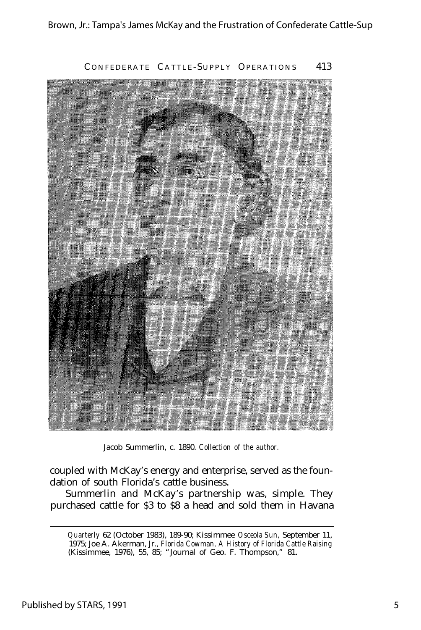

Jacob Summerlin, c. 1890. *Collection of the author.*

coupled with McKay's energy and enterprise, served as the foundation of south Florida's cattle business.

Summerlin and McKay's partnership was, simple. They purchased cattle for \$3 to \$8 a head and sold them in Havana

*Quarterly* 62 (October 1983), 189-90; Kissimmee *Osceola Sun,* September 11, 1975; Joe A. Akerman, Jr., *Florida Cowman, A History of Florida Cattle Raising* (Kissimmee, 1976), 55, 85; "Journal of Geo. F. Thompson," 81.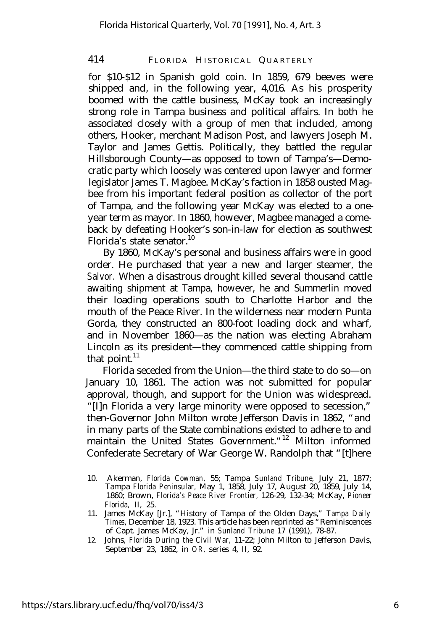for \$10-\$12 in Spanish gold coin. In 1859, 679 beeves were shipped and, in the following year, 4,016. As his prosperity boomed with the cattle business, McKay took an increasingly strong role in Tampa business and political affairs. In both he associated closely with a group of men that included, among others, Hooker, merchant Madison Post, and lawyers Joseph M. Taylor and James Gettis. Politically, they battled the regular Hillsborough County— as opposed to town of Tampa's— Democratic party which loosely was centered upon lawyer and former legislator James T. Magbee. McKay's faction in 1858 ousted Magbee from his important federal position as collector of the port of Tampa, and the following year McKay was elected to a oneyear term as mayor. In 1860, however, Magbee managed a comeback by defeating Hooker's son-in-law for election as southwest Florida's state senator. $10$ 

By 1860, McKay's personal and business affairs were in good order. He purchased that year a new and larger steamer, the *Salvor.* When a disastrous drought killed several thousand cattle awaiting shipment at Tampa, however, he and Summerlin moved their loading operations south to Charlotte Harbor and the mouth of the Peace River. In the wilderness near modern Punta Gorda, they constructed an 800-foot loading dock and wharf, and in November 1860— as the nation was electing Abraham Lincoln as its president— they commenced cattle shipping from that point. $11$ 

Florida seceded from the Union— the third state to do so— on January 10, 1861. The action was not submitted for popular approval, though, and support for the Union was widespread. "[I]n Florida a very large minority were opposed to secession," then-Governor John Milton wrote Jefferson Davis in 1862, "and in many parts of the State combinations existed to adhere to and maintain the United States Government."<sup>12</sup> Milton informed Confederate Secretary of War George W. Randolph that "[t]here

<sup>10.</sup> Akerman, *Florida Cowman,* 55; Tampa *Sunland Tribune,* July 21, 1877; Tampa *Florida Peninsular,* May 1, 1858, July 17, August 20, 1859, July 14, 1860; Brown, *Florida's Peace River Frontier,* 126-29, 132-34; McKay, *Pioneer Florida,* II, 25.

<sup>11.</sup> James McKay [Jr.], "History of Tampa of the Olden Days," *Tampa Daily Times,* December 18, 1923. This article has been reprinted as "Reminiscences of Capt. James McKay, Jr." in *Sunland Tribune* 17 (1991), 78-87.

<sup>12.</sup> Johns, *Florida During the Civil War,* 11-22; John Milton to Jefferson Davis, September 23, 1862, in *OR,* series 4, II, 92.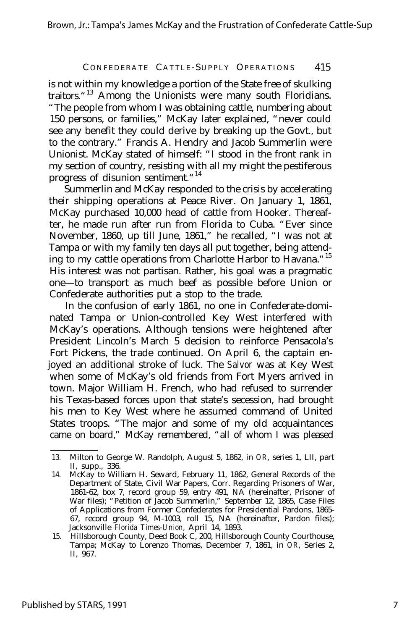is not within my knowledge a portion of the State free of skulking traitors.<sup>"13</sup> Among the Unionists were many south Floridians. "The people from whom I was obtaining cattle, numbering about 150 persons, or families," McKay later explained, "never could see any benefit they could derive by breaking up the Govt., but to the contrary." Francis A. Hendry and Jacob Summerlin were Unionist. McKay stated of himself: "I stood in the front rank in my section of country, resisting with all my might the pestiferous progress of disunion sentiment."<sup>14</sup>

Summerlin and McKay responded to the crisis by accelerating their shipping operations at Peace River. On January 1, 1861, McKay purchased 10,000 head of cattle from Hooker. Thereafter, he made run after run from Florida to Cuba. "Ever since November, 1860, up till June, 1861," he recalled, "I was not at Tampa or with my family ten days all put together, being attending to my cattle operations from Charlotte Harbor to Havana.<sup>"15</sup> His interest was not partisan. Rather, his goal was a pragmatic one— to transport as much beef as possible before Union or Confederate authorities put a stop to the trade.

In the confusion of early 1861, no one in Confederate-dominated Tampa or Union-controlled Key West interfered with McKay's operations. Although tensions were heightened after President Lincoln's March 5 decision to reinforce Pensacola's Fort Pickens, the trade continued. On April 6, the captain enjoyed an additional stroke of luck. The *Salvor* was at Key West when some of McKay's old friends from Fort Myers arrived in town. Major William H. French, who had refused to surrender his Texas-based forces upon that state's secession, had brought his men to Key West where he assumed command of United States troops. "The major and some of my old acquaintances came on board," McKay remembered, "all of whom I was pleased

<sup>13.</sup> Milton to George W. Randolph, August 5, 1862, in *OR,* series 1, LII, part II, supp., 336.

<sup>14.</sup> McKay to William H. Seward, February 11, 1862, General Records of the Department of State, Civil War Papers, Corr. Regarding Prisoners of War, 1861-62, box 7, record group 59, entry 491, NA (hereinafter, Prisoner of War files); "Petition of Jacob Summerlin," September 12, 1865, Case Files of Applications from Former Confederates for Presidential Pardons, 1865- 67, record group 94, M-1003, roll 15, NA (hereinafter, Pardon files); Jacksonville *Florida Times-Union,* April 14, 1893.

<sup>15.</sup> Hillsborough County, Deed Book C, 200, Hillsborough County Courthouse, Tampa; McKay to Lorenzo Thomas, December 7, 1861, in *OR,* Series 2, II, 967.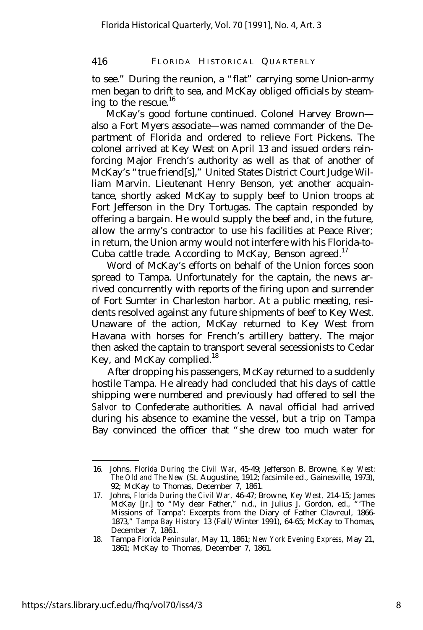to see." During the reunion, a "flat" carrying some Union-army men began to drift to sea, and McKay obliged officials by steaming to the rescue. $^{16}$ 

McKay's good fortune continued. Colonel Harvey Brown also a Fort Myers associate— was named commander of the Department of Florida and ordered to relieve Fort Pickens. The colonel arrived at Key West on April 13 and issued orders reinforcing Major French's authority as well as that of another of McKay's "true friend[s]," United States District Court Judge William Marvin. Lieutenant Henry Benson, yet another acquaintance, shortly asked McKay to supply beef to Union troops at Fort Jefferson in the Dry Tortugas. The captain responded by offering a bargain. He would supply the beef and, in the future, allow the army's contractor to use his facilities at Peace River; in return, the Union army would not interfere with his Florida-to-Cuba cattle trade. According to McKay, Benson agreed.<sup>17</sup>

Word of McKay's efforts on behalf of the Union forces soon spread to Tampa. Unfortunately for the captain, the news arrived concurrently with reports of the firing upon and surrender of Fort Sumter in Charleston harbor. At a public meeting, residents resolved against any future shipments of beef to Key West. Unaware of the action, McKay returned to Key West from Havana with horses for French's artillery battery. The major then asked the captain to transport several secessionists to Cedar Key, and McKay complied.<sup>18</sup>

After dropping his passengers, McKay returned to a suddenly hostile Tampa. He already had concluded that his days of cattle shipping were numbered and previously had offered to sell the *Salvor* to Confederate authorities. A naval official had arrived during his absence to examine the vessel, but a trip on Tampa Bay convinced the officer that "she drew too much water for

<sup>16.</sup> Johns, *Florida During the Civil War,* 45-49; Jefferson B. Browne, *Key West: The Old and The New* (St. Augustine, 1912; facsimile ed., Gainesville, 1973), 92; McKay to Thomas, December 7, 1861.

<sup>17.</sup> Johns, *Florida During the Civil War,* 46-47; Browne, *Key West,* 214-15; James McKay [Jr.] to "My dear Father," n.d., in Julius J. Gordon, ed., "'The Missions of Tampa': Excerpts from the Diary of Father Clavreul, 1866- 1873," *Tampa Bay History* 13 (Fall/Winter 1991), 64-65; McKay to Thomas, December 7, 1861.

<sup>18.</sup> Tampa *Florida Peninsular,* May 11, 1861; *New York Evening Express,* May 21, 1861; McKay to Thomas, December 7, 1861.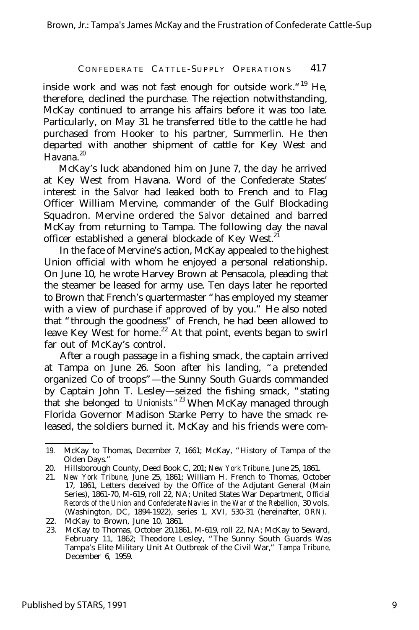inside work and was not fast enough for outside work. <sup>"19</sup> He, therefore, declined the purchase. The rejection notwithstanding, McKay continued to arrange his affairs before it was too late. Particularly, on May 31 he transferred title to the cattle he had purchased from Hooker to his partner, Summerlin. He then departed with another shipment of cattle for Key West and Havana.<sup>20</sup>

McKay's luck abandoned him on June 7, the day he arrived at Key West from Havana. Word of the Confederate States' interest in the *Salvor* had leaked both to French and to Flag Officer William Mervine, commander of the Gulf Blockading Squadron. Mervine ordered the *Salvor* detained and barred McKay from returning to Tampa. The following day the naval officer established a general blockade of Key West.<sup>21</sup>

In the face of Mervine's action, McKay appealed to the highest Union official with whom he enjoyed a personal relationship. On June 10, he wrote Harvey Brown at Pensacola, pleading that the steamer be leased for army use. Ten days later he reported to Brown that French's quartermaster "has employed my steamer with a view of purchase if approved of by you." He also noted that "through the goodness" of French, he had been allowed to leave Key West for home.<sup>22</sup> At that point, events began to swirl far out of McKay's control.

After a rough passage in a fishing smack, the captain arrived at Tampa on June 26. Soon after his landing, "a pretended organized Co of troops"— the Sunny South Guards commanded by Captain John T. Lesley— seized the fishing smack, "stating that she belonged to *Unionists."<sup>23</sup>* When McKay managed through Florida Governor Madison Starke Perry to have the smack released, the soldiers burned it. McKay and his friends were com-

<sup>19.</sup> McKay to Thomas, December 7, 1661; McKay, "History of Tampa of the Olden Days."

<sup>20.</sup> Hillsborough County, Deed Book C, 201; *New York Tribune,* June 25, 1861.

<sup>21.</sup> *New York Tribune,* June 25, 1861; William H. French to Thomas, October 17, 1861, Letters deceived by the Office of the Adjutant General (Main Series), 1861-70, M-619, roll 22, NA; United States War Department, *Official Records of the Union and Confederate Navies in the War of the Rebellion,* 30 vols. (Washington, DC, 1894-1922), series 1, XVI, 530-31 (hereinafter, *ORN).*

<sup>22.</sup> McKay to Brown, June 10, 1861.

<sup>23.</sup> McKay to Thomas, October 20,1861, M-619, roll 22, NA; McKay to Seward, February 11, 1862; Theodore Lesley, "The Sunny South Guards Was Tampa's Elite Military Unit At Outbreak of the Civil War," *Tampa Tribune,* December 6, 1959.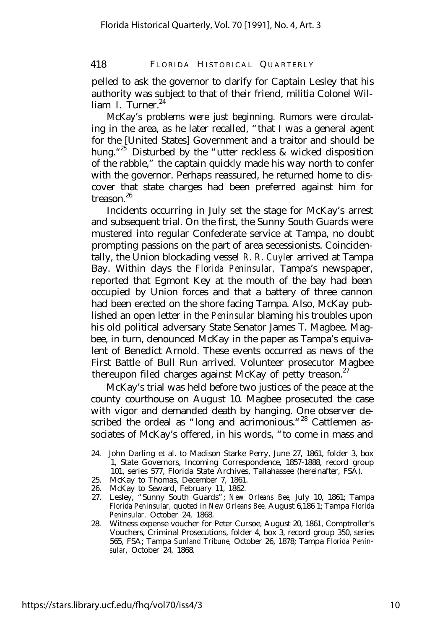pelled to ask the governor to clarify for Captain Lesley that his authority was subject to that of their friend, militia Colonel William I. Turner.<sup>24</sup>

McKay's problems were just beginning. Rumors were circulating in the area, as he later recalled, "that I was a general agent for the [United States] Government and a traitor and should be hung."<sup>25</sup> Disturbed by the "utter reckless & wicked disposition of the rabble," the captain quickly made his way north to confer with the governor. Perhaps reassured, he returned home to discover that state charges had been preferred against him for treason.<sup>26</sup>

Incidents occurring in July set the stage for McKay's arrest and subsequent trial. On the first, the Sunny South Guards were mustered into regular Confederate service at Tampa, no doubt prompting passions on the part of area secessionists. Coincidentally, the Union blockading vessel *R. R. Cuyler* arrived at Tampa Bay. Within days the *Florida Peninsular,* Tampa's newspaper, reported that Egmont Key at the mouth of the bay had been occupied by Union forces and that a battery of three cannon had been erected on the shore facing Tampa. Also, McKay published an open letter in the *Peninsular* blaming his troubles upon his old political adversary State Senator James T. Magbee. Magbee, in turn, denounced McKay in the paper as Tampa's equivalent of Benedict Arnold. These events occurred as news of the First Battle of Bull Run arrived. Volunteer prosecutor Magbee thereupon filed charges against McKay of petty treason. $27$ 

McKay's trial was held before two justices of the peace at the county courthouse on August 10. Magbee prosecuted the case with vigor and demanded death by hanging. One observer described the ordeal as "long and acrimonious."<sup>28</sup> Cattlemen associates of McKay's offered, in his words, "to come in mass and

<sup>24.</sup> John Darling et al. to Madison Starke Perry, June 27, 1861, folder 3, box 1, State Governors, Incoming Correspondence, 1857-1888, record group 101, series 577, Florida State Archives, Tallahassee (hereinafter, FSA).

<sup>25.</sup> McKay to Thomas, December 7, 1861.

<sup>26.</sup> McKay to Seward, February 11, 1862.

<sup>27.</sup> Lesley, "Sunny South Guards"; *New Orleans Bee,* July 10, 1861; Tampa *Florida Peninsular,* quoted in *New Orleans Bee,* August 6,186 1; Tampa *Florida Peninsular,* October 24, 1868.

<sup>28.</sup> Witness expense voucher for Peter Cursoe, August 20, 1861, Comptroller's Vouchers, Criminal Prosecutions, folder 4, box 3, record group 350, series 565, FSA; Tampa *Sunland Tribune,* October 26, 1878; Tampa *Florida Peninsular,* October 24, 1868.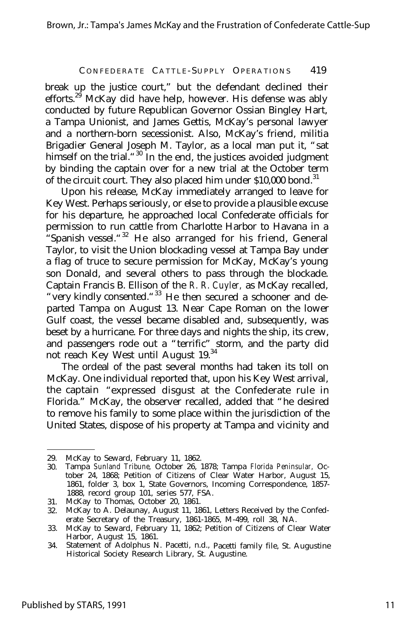break up the justice court," but the defendant declined their efforts.<sup>29</sup> McKay did have help, however. His defense was ably conducted by future Republican Governor Ossian Bingley Hart, a Tampa Unionist, and James Gettis, McKay's personal lawyer and a northern-born secessionist. Also, McKay's friend, militia Brigadier General Joseph M. Taylor, as a local man put it, "sat himself on the trial. "<sup>30</sup> In the end, the justices avoided judgment by binding the captain over for a new trial at the October term of the circuit court. They also placed him under \$10,000 bond.<sup>31</sup>

Upon his release, McKay immediately arranged to leave for Key West. Perhaps seriously, or else to provide a plausible excuse for his departure, he approached local Confederate officials for permission to run cattle from Charlotte Harbor to Havana in a "Spanish vessel."<sup>32</sup> He also arranged for his friend, General Taylor, to visit the Union blockading vessel at Tampa Bay under a flag of truce to secure permission for McKay, McKay's young son Donald, and several others to pass through the blockade. Captain Francis B. Ellison of the *R. R. Cuyler,* as McKay recalled, "very kindly consented."<sup>33</sup> He then secured a schooner and departed Tampa on August 13. Near Cape Roman on the lower Gulf coast, the vessel became disabled and, subsequently, was beset by a hurricane. For three days and nights the ship, its crew, and passengers rode out a "terrific" storm, and the party did not reach Key West until August 19.<sup>34</sup>

The ordeal of the past several months had taken its toll on McKay. One individual reported that, upon his Key West arrival, the captain "expressed disgust at the Confederate rule in Florida." McKay, the observer recalled, added that "he desired to remove his family to some place within the jurisdiction of the United States, dispose of his property at Tampa and vicinity and

<sup>29.</sup> McKay to Seward, February 11, 1862.

<sup>30.</sup> Tampa *Sunland Tribune,* October 26, 1878; Tampa *Florida Peninsular,* October 24, 1868; Petition of Citizens of Clear Water Harbor, August 15, 1861, folder 3, box 1, State Governors, Incoming Correspondence, 1857- 1888, record group 101, series 577, FSA.

<sup>31.</sup> McKay to Thomas, October 20, 1861.

<sup>32.</sup> McKay to A. Delaunay, August 11, 1861, Letters Received by the Confederate Secretary of the Treasury, 1861-1865, M-499, roll 38, NA.

<sup>33.</sup> McKay to Seward, February 11, 1862; Petition of Citizens of Clear Water Harbor, August 15, 1861.

<sup>34.</sup> Statement of Adolphus N. Pacetti, n.d., Pacetti family file, St. Augustine Historical Society Research Library, St. Augustine.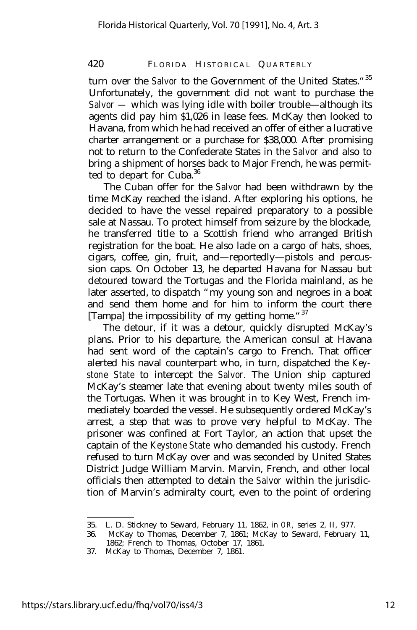turn over the *Salvor* to the Government of the United States."<sup>35</sup> Unfortunately, the government did not want to purchase the *Salvor —* which was lying idle with boiler trouble— although its agents did pay him \$1,026 in lease fees. McKay then looked to Havana, from which he had received an offer of either a lucrative charter arrangement or a purchase for \$38,000. After promising not to return to the Confederate States in the *Salvor* and also to bring a shipment of horses back to Major French, he was permitted to depart for Cuba.<sup>36</sup>

The Cuban offer for the *Salvor* had been withdrawn by the time McKay reached the island. After exploring his options, he decided to have the vessel repaired preparatory to a possible sale at Nassau. To protect himself from seizure by the blockade, he transferred title to a Scottish friend who arranged British registration for the boat. He also lade on a cargo of hats, shoes, cigars, coffee, gin, fruit, and— reportedly— pistols and percussion caps. On October 13, he departed Havana for Nassau but detoured toward the Tortugas and the Florida mainland, as he later asserted, to dispatch "my young son and negroes in a boat and send them home and for him to inform the court there [Tampa] the impossibility of my getting home."<sup>37</sup>

The detour, if it was a detour, quickly disrupted McKay's plans. Prior to his departure, the American consul at Havana had sent word of the captain's cargo to French. That officer alerted his naval counterpart who, in turn, dispatched the *Keystone State* to intercept the *Salvor.* The Union ship captured McKay's steamer late that evening about twenty miles south of the Tortugas. When it was brought in to Key West, French immediately boarded the vessel. He subsequently ordered McKay's arrest, a step that was to prove very helpful to McKay. The prisoner was confined at Fort Taylor, an action that upset the captain of the *Keystone State* who demanded his custody. French refused to turn McKay over and was seconded by United States District Judge William Marvin. Marvin, French, and other local officials then attempted to detain the *Salvor* within the jurisdiction of Marvin's admiralty court, even to the point of ordering

<sup>35.</sup> L. D. Stickney to Seward, February 11, 1862, in *OR,* series 2, II, 977.

<sup>36.</sup> McKay to Thomas, December 7, 1861; McKay to Seward, February 11, 1862; French to Thomas, October 17, 1861.

<sup>37.</sup> McKay to Thomas, December 7, 1861.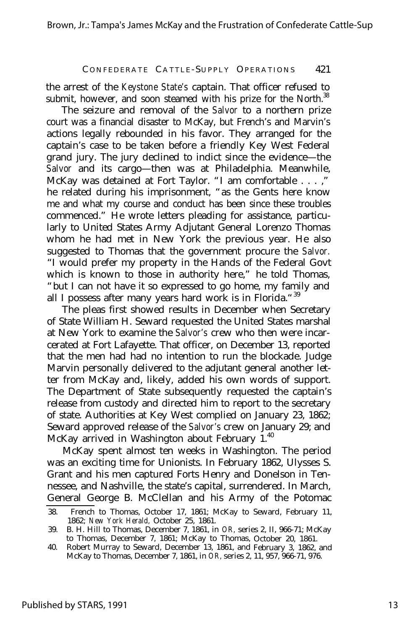the arrest of the *Keystone State's* captain. That officer refused to submit, however, and soon steamed with his prize for the North.<sup>38</sup>

The seizure and removal of the *Salvor* to a northern prize court was a financial disaster to McKay, but French's and Marvin's actions legally rebounded in his favor. They arranged for the captain's case to be taken before a friendly Key West Federal grand jury. The jury declined to indict since the evidence— the *Salvor* and its cargo— then was at Philadelphia. Meanwhile, McKay was detained at Fort Taylor. "I am comfortable . . . ," he related during his imprisonment, "as the Gents here know me and what my course and conduct has been since these troubles commenced." He wrote letters pleading for assistance, particularly to United States Army Adjutant General Lorenzo Thomas whom he had met in New York the previous year. He also suggested to Thomas that the government procure the *Salvor.* "I would prefer my property in the Hands of the Federal Govt which is known to those in authority here," he told Thomas, "but I can not have it so expressed to go home, my family and all I possess after many years hard work is in Florida."<sup>39</sup>

The pleas first showed results in December when Secretary of State William H. Seward requested the United States marshal at New York to examine the *Salvor's* crew who then were incarcerated at Fort Lafayette. That officer, on December 13, reported that the men had had no intention to run the blockade. Judge Marvin personally delivered to the adjutant general another letter from McKay and, likely, added his own words of support. The Department of State subsequently requested the captain's release from custody and directed him to report to the secretary of state. Authorities at Key West complied on January 23, 1862; Seward approved release of the *Salvor's* crew on January 29; and McKay arrived in Washington about February 1.<sup>40</sup>

McKay spent almost ten weeks in Washington. The period was an exciting time for Unionists. In February 1862, Ulysses S. Grant and his men captured Forts Henry and Donelson in Tennessee, and Nashville, the state's capital, surrendered. In March, General George B. McClellan and his Army of the Potomac

<sup>38.</sup> French to Thomas, October 17, 1861; McKay to Seward, February 11, 1862; *New York Herald,* October 25, 1861.

<sup>39.</sup> B. H. Hill to Thomas, December 7, 1861, in *OR,* series 2, II, 966-71; McKay to Thomas, December 7, 1861; McKay to Thomas, October 20, 1861.

<sup>40.</sup> Robert Murray to Seward, December 13, 1861, and February 3, 1862, and McKay to Thomas, December 7, 1861, in *OR,* series 2, 11, 957, 966-71, 976.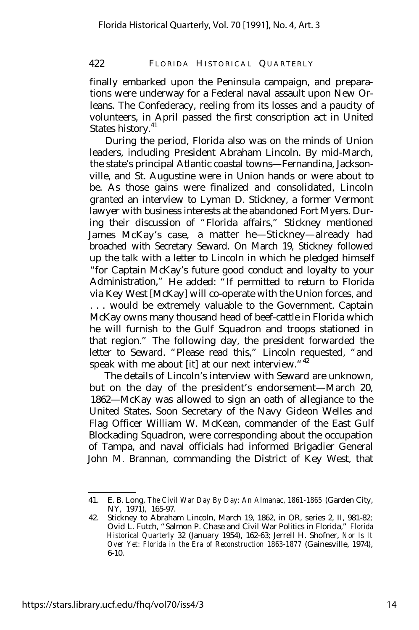finally embarked upon the Peninsula campaign, and preparations were underway for a Federal naval assault upon New Orleans. The Confederacy, reeling from its losses and a paucity of volunteers, in April passed the first conscription act in United States history.<sup>41</sup>

During the period, Florida also was on the minds of Union leaders, including President Abraham Lincoln. By mid-March, the state's principal Atlantic coastal towns— Fernandina, Jacksonville, and St. Augustine were in Union hands or were about to be. As those gains were finalized and consolidated, Lincoln granted an interview to Lyman D. Stickney, a former Vermont lawyer with business interests at the abandoned Fort Myers. During their discussion of "Florida affairs," Stickney mentioned James McKay's case, a matter he— Stickney— already had broached with Secretary Seward. On March 19, Stickney followed up the talk with a letter to Lincoln in which he pledged himself "for Captain McKay's future good conduct and loyalty to your Administration," He added: "If permitted to return to Florida via Key West [McKay] will co-operate with the Union forces, and . . . would be extremely valuable to the Government. Captain McKay owns many thousand head of beef-cattle in Florida which he will furnish to the Gulf Squadron and troops stationed in that region." The following day, the president forwarded the letter to Seward. "Please read this," Lincoln requested, "and speak with me about [it] at our next interview."<sup>42</sup>

The details of Lincoln's interview with Seward are unknown, but on the day of the president's endorsement— March 20, 1862— McKay was allowed to sign an oath of allegiance to the United States. Soon Secretary of the Navy Gideon Welles and Flag Officer William W. McKean, commander of the East Gulf Blockading Squadron, were corresponding about the occupation of Tampa, and naval officials had informed Brigadier General John M. Brannan, commanding the District of Key West, that

<sup>41.</sup> E. B. Long, *The Civil War Day By Day: An Almanac, 1861-1865* (Garden City, NY, 1971), 165-97.

<sup>42.</sup> Stickney to Abraham Lincoln, March 19, 1862, in OR, series 2, II, 981-82; Ovid L. Futch, "Salmon P. Chase and Civil War Politics in Florida," *Florida Historical Quarterly* 32 (January 1954), 162-63; Jerrell H. Shofner, *Nor Is It Over Yet: Florida in the Era of Reconstruction 1863-1877* (Gainesville, 1974), 6-10.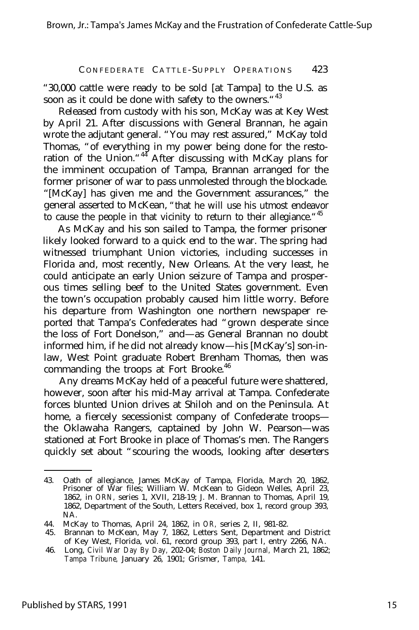"30,000 cattle were ready to be sold [at Tampa] to the U.S. as soon as it could be done with safety to the owners. "43

Released from custody with his son, McKay was at Key West by April 21. After discussions with General Brannan, he again wrote the adjutant general. "You may rest assured," McKay told Thomas, "of everything in my power being done for the restoration of the Union."<sup>44</sup> After discussing with McKay plans for the imminent occupation of Tampa, Brannan arranged for the former prisoner of war to pass unmolested through the blockade. "[McKay] has given me and the Government assurances," the general asserted to McKean, "that he will use his utmost endeavor to cause the people in that vicinity to return to their allegiance."<sup>45</sup>

As McKay and his son sailed to Tampa, the former prisoner likely looked forward to a quick end to the war. The spring had witnessed triumphant Union victories, including successes in Florida and, most recently, New Orleans. At the very least, he could anticipate an early Union seizure of Tampa and prosperous times selling beef to the United States government. Even the town's occupation probably caused him little worry. Before his departure from Washington one northern newspaper reported that Tampa's Confederates had "grown desperate since the loss of Fort Donelson," and— as General Brannan no doubt informed him, if he did not already know— his [McKay's] son-inlaw, West Point graduate Robert Brenham Thomas, then was commanding the troops at Fort Brooke.<sup>46</sup>

Any dreams McKay held of a peaceful future were shattered, however, soon after his mid-May arrival at Tampa. Confederate forces blunted Union drives at Shiloh and on the Peninsula. At home, a fiercely secessionist company of Confederate troops the Oklawaha Rangers, captained by John W. Pearson— was stationed at Fort Brooke in place of Thomas's men. The Rangers quickly set about "scouring the woods, looking after deserters

<sup>43.</sup> Oath of allegiance, James McKay of Tampa, Florida, March 20, 1862, Prisoner of War files; William W. McKean to Gideon Welles, April 23, 1862, in *ORN,* series 1, XVII, 218-19; J. M. Brannan to Thomas, April 19, 1862, Department of the South, Letters Received, box 1, record group 393, NA.

<sup>44.</sup> McKay to Thomas, April 24, 1862, in *OR,* series 2, II, 981-82.

<sup>45.</sup> Brannan to McKean, May 7, 1862, Letters Sent, Department and District of Key West, Florida, vol. 61, record group 393, part I, entry 2266, NA.

<sup>46.</sup> Long, *Civil War Day By Day,* 202-04; *Boston Daily Journal,* March 21, 1862; *Tampa Tribune,* January 26, 1901; Grismer, *Tampa,* 141.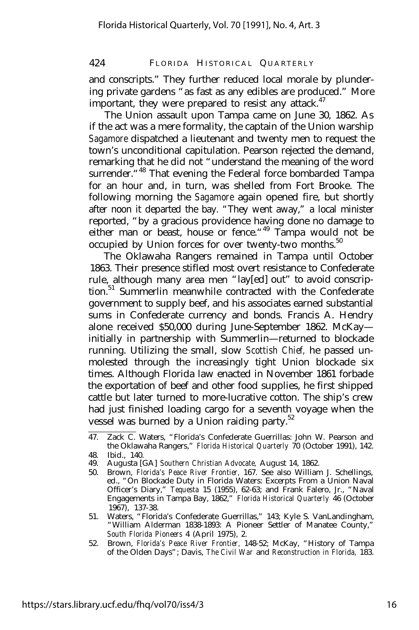and conscripts." They further reduced local morale by plundering private gardens "as fast as any edibles are produced." More important, they were prepared to resist any attack. $47$ 

The Union assault upon Tampa came on June 30, 1862. As if the act was a mere formality, the captain of the Union warship *Sagamore* dispatched a lieutenant and twenty men to request the town's unconditional capitulation. Pearson rejected the demand, remarking that he did not "understand the meaning of the word surrender.<sup>"48</sup> That evening the Federal force bombarded Tampa for an hour and, in turn, was shelled from Fort Brooke. The following morning the *Sagamore* again opened fire, but shortly after noon it departed the bay. "They went away," a local minister reported, "by a gracious providence having done no damage to either man or beast, house or fence.<sup>"49</sup> Tampa would not be occupied by Union forces for over twenty-two months.<sup>50</sup>

The Oklawaha Rangers remained in Tampa until October 1863. Their presence stifled most overt resistance to Confederate rule, although many area men "lay[ed] out" to avoid conscription.<sup>51</sup> Summerlin meanwhile contracted with the Confederate government to supply beef, and his associates earned substantial sums in Confederate currency and bonds. Francis A. Hendry alone received \$50,000 during June-September 1862. McKay initially in partnership with Summerlin— returned to blockade running. Utilizing the small, slow *Scottish Chief,* he passed unmolested through the increasingly tight Union blockade six times. Although Florida law enacted in November 1861 forbade the exportation of beef and other food supplies, he first shipped cattle but later turned to more-lucrative cotton. The ship's crew had just finished loading cargo for a seventh voyage when the vessel was burned by a Union raiding party.<sup>52</sup>

<sup>47.</sup> Zack C. Waters, "Florida's Confederate Guerrillas: John W. Pearson and the Oklawaha Rangers," *Florida Historical Quarterly* 70 (October 1991), 142. 48. Ibid., 140.

<sup>49.</sup> Augusta [GA] *Southern Christian Advocate,* August 14, 1862.

<sup>50.</sup> Brown, *Florida's Peace River Frontier,* 167. See also William J. Schellings, ed., "On Blockade Duty in Florida Waters: Excerpts From a Union Naval Officer's Diary," *Tequesta* 15 (1955), 62-63; and Frank Falero, Jr., "Naval Engagements in Tampa Bay, 1862," *Florida Historical Quarterly* 46 (October 1967), 137-38.

<sup>51.</sup> Waters, "Florida's Confederate Guerrillas," 143; Kyle S. VanLandingham, "William Alderman 1838-1893: A Pioneer Settler of Manatee County," *South Florida Pioneers* 4 (April 1975), 2.

<sup>52.</sup> Brown, *Florida's Peace River Frontier,* 148-52; McKay, "History of Tampa of the Olden Days"; Davis, *The Civil War* and *Reconstruction in Florida,* 183.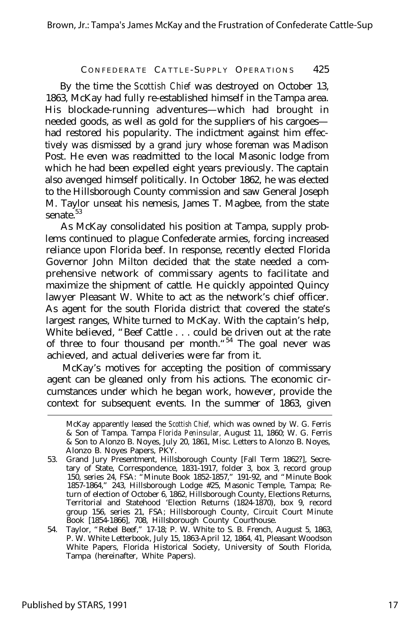By the time the *Scottish Chief* was destroyed on October 13, 1863, McKay had fully re-established himself in the Tampa area. His blockade-running adventures— which had brought in needed goods, as well as gold for the suppliers of his cargoes had restored his popularity. The indictment against him effectively was dismissed by a grand jury whose foreman was Madison Post. He even was readmitted to the local Masonic lodge from which he had been expelled eight years previously. The captain also avenged himself politically. In October 1862, he was elected to the Hillsborough County commission and saw General Joseph M. Taylor unseat his nemesis, James T. Magbee, from the state senate.<sup>53</sup>

As McKay consolidated his position at Tampa, supply problems continued to plague Confederate armies, forcing increased reliance upon Florida beef. In response, recently elected Florida Governor John Milton decided that the state needed a comprehensive network of commissary agents to facilitate and maximize the shipment of cattle. He quickly appointed Quincy lawyer Pleasant W. White to act as the network's chief officer. As agent for the south Florida district that covered the state's largest ranges, White turned to McKay. With the captain's help, White believed, "Beef Cattle . . . could be driven out at the rate of three to four thousand per month."<sup>54</sup> The goal never was achieved, and actual deliveries were far from it.

McKay's motives for accepting the position of commissary agent can be gleaned only from his actions. The economic circumstances under which he began work, however, provide the context for subsequent events. In the summer of 1863, given

McKay apparently leased the *Scottish Chief,* which was owned by W. G. Ferris & Son of Tampa. Tampa *Florida Peninsular,* August 11, 1860; W. G. Ferris & Son to Alonzo B. Noyes, July 20, 1861, Misc. Letters to Alonzo B. Noyes, Alonzo B. Noyes Papers, PKY.

<sup>53.</sup> Grand Jury Presentment, Hillsborough County [Fall Term 1862?], Secretary of State, Correspondence, 1831-1917, folder 3, box 3, record group 150, series 24, FSA: "Minute Book 1852-1857," 191-92, and "Minute Book 1857-1864," 243, Hillsborough Lodge #25, Masonic Temple, Tampa; Return of election of October 6, 1862, Hillsborough County, Elections Returns, Territorial and Statehood 'Election Returns (1824-1870), box 9, record group 156, series 21, FSA; Hillsborough County, Circuit Court Minute Book [1854-1866], 708, Hillsborough County Courthouse.

<sup>54.</sup> Taylor, "Rebel Beef," 17-18; P. W. White to S. B. French, August 5, 1863, P. W. White Letterbook, July 15, 1863-April 12, 1864, 41, Pleasant Woodson White Papers, Florida Historical Society, University of South Florida, Tampa (hereinafter, White Papers).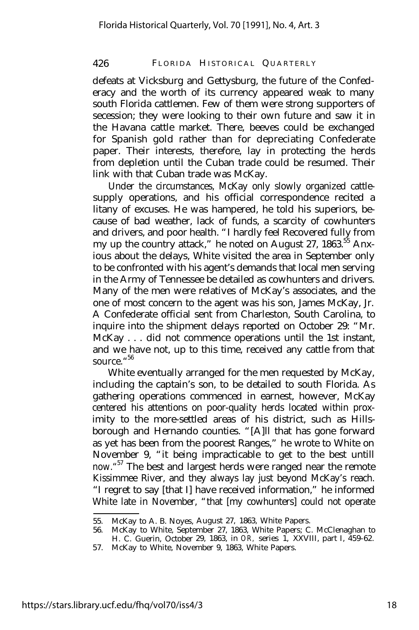defeats at Vicksburg and Gettysburg, the future of the Confederacy and the worth of its currency appeared weak to many south Florida cattlemen. Few of them were strong supporters of secession; they were looking to their own future and saw it in the Havana cattle market. There, beeves could be exchanged for Spanish gold rather than for depreciating Confederate paper. Their interests, therefore, lay in protecting the herds from depletion until the Cuban trade could be resumed. Their link with that Cuban trade was McKay.

Under the circumstances, McKay only slowly organized cattlesupply operations, and his official correspondence recited a litany of excuses. He was hampered, he told his superiors, because of bad weather, lack of funds, a scarcity of cowhunters and drivers, and poor health. "I hardly feel Recovered fully from my up the country attack," he noted on August 27,  $1863$ ,  $55$  Anxious about the delays, White visited the area in September only to be confronted with his agent's demands that local men serving in the Army of Tennessee be detailed as cowhunters and drivers. Many of the men were relatives of McKay's associates, and the one of most concern to the agent was his son, James McKay, Jr. A Confederate official sent from Charleston, South Carolina, to inquire into the shipment delays reported on October 29: "Mr. McKay . . . did not commence operations until the 1st instant, and we have not, up to this time, received any cattle from that source." 56

White eventually arranged for the men requested by McKay, including the captain's son, to be detailed to south Florida. As gathering operations commenced in earnest, however, McKay centered his attentions on poor-quality herds located within proximity to the more-settled areas of his district, such as Hillsborough and Hernando counties. "[A]ll that has gone forward as yet has been from the poorest Ranges," he wrote to White on November 9, "it being impracticable to get to the best untill now. "<sup>57</sup> The best and largest herds were ranged near the remote Kissimmee River, and they always lay just beyond McKay's reach. "I regret to say [that I] have received information," he informed White late in November, "that [my cowhunters] could not operate

<sup>55.</sup> McKay to A. B. Noyes, August 27, 1863, White Papers.

<sup>56.</sup> McKay to White, September 27, 1863, White Papers; C. McClenaghan to H. C. Guerin, October 29, 1863, in *OR,* series 1, XXVIII, part I, 459-62.

<sup>57.</sup> McKay to White, November 9, 1863, White Papers.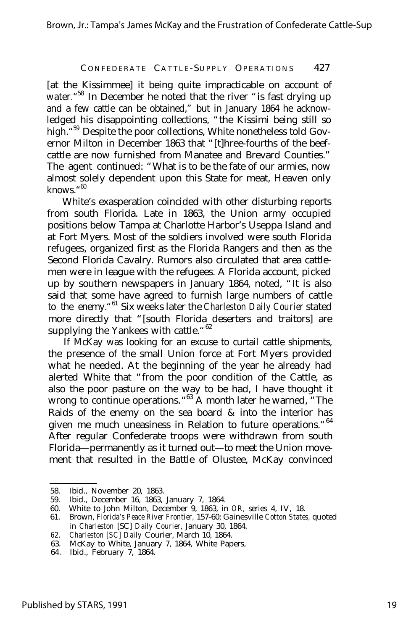[at the Kissimmee] it being quite impracticable on account of water.<sup>"58</sup> In December he noted that the river "is fast drying up and a few cattle can be obtained," but in January 1864 he acknowledged his disappointing collections, "the Kissimi being still so high." <sup>59</sup> Despite the poor collections, White nonetheless told Governor Milton in December 1863 that "[t]hree-fourths of the beefcattle are now furnished from Manatee and Brevard Counties." The agent continued: "What is to be the fate of our armies, now almost solely dependent upon this State for meat, Heaven only knows." 60

White's exasperation coincided with other disturbing reports from south Florida. Late in 1863, the Union army occupied positions below Tampa at Charlotte Harbor's Useppa Island and at Fort Myers. Most of the soldiers involved were south Florida refugees, organized first as the Florida Rangers and then as the Second Florida Cavalry. Rumors also circulated that area cattlemen were in league with the refugees. A Florida account, picked up by southern newspapers in January 1864, noted, "It is also said that some have agreed to furnish large numbers of cattle to the enemy."<sup>61</sup> Six weeks later the *Charleston Daily Courier* stated more directly that "[south Florida deserters and traitors] are supplying the Yankees with cattle."<sup>62</sup>

If McKay was looking for an excuse to curtail cattle shipments, the presence of the small Union force at Fort Myers provided what he needed. At the beginning of the year he already had alerted White that "from the poor condition of the Cattle, as also the poor pasture on the way to be had, I have thought it wrong to continue operations. "<sup>63</sup> A month later he warned, "The Raids of the enemy on the sea board  $\&$  into the interior has given me much uneasiness in Relation to future operations. "<sup>64</sup> After regular Confederate troops were withdrawn from south Florida— permanently as it turned out— to meet the Union movement that resulted in the Battle of Olustee, McKay convinced

<sup>58.</sup> Ibid., November 20, 1863.

<sup>59.</sup> Ibid., December 16, 1863, January 7, 1864.

<sup>60.</sup> White to John Milton, December 9, 1863, in *OR,* series 4, IV, 18.

<sup>61.</sup> Brown, *Florida's Peace River Frontier,* 157-60; Gainesville *Cotton States,* quoted in *Charleston* [SC] *Daily Courier,* January 30, 1864.

*<sup>62.</sup> Charleston [SC] Daily* Courier, March 10, 1864.

<sup>63.</sup> McKay to White, January 7, 1864, White Papers,

<sup>64.</sup> Ibid., February 7, 1864.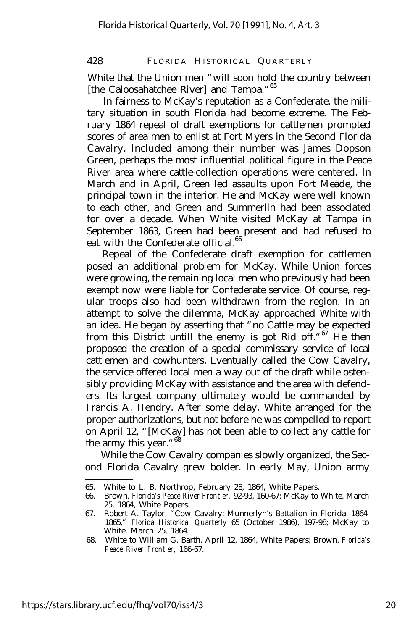White that the Union men "will soon hold the country between [the Caloosahatchee River] and Tampa."<sup>65</sup>

In fairness to McKay's reputation as a Confederate, the military situation in south Florida had become extreme. The February 1864 repeal of draft exemptions for cattlemen prompted scores of area men to enlist at Fort Myers in the Second Florida Cavalry. Included among their number was James Dopson Green, perhaps the most influential political figure in the Peace River area where cattle-collection operations were centered. In March and in April, Green led assaults upon Fort Meade, the principal town in the interior. He and McKay were well known to each other, and Green and Summerlin had been associated for over a decade. When White visited McKay at Tampa in September 1863, Green had been present and had refused to eat with the Confederate official.<sup>66</sup>

Repeal of the Confederate draft exemption for cattlemen posed an additional problem for McKay. While Union forces were growing, the remaining local men who previously had been exempt now were liable for Confederate service. Of course, regular troops also had been withdrawn from the region. In an attempt to solve the dilemma, McKay approached White with an idea. He began by asserting that "no Cattle may be expected from this District untill the enemy is got Rid off.<sup>"67</sup> He then proposed the creation of a special commissary service of local cattlemen and cowhunters. Eventually called the Cow Cavalry, the service offered local men a way out of the draft while ostensibly providing McKay with assistance and the area with defenders. Its largest company ultimately would be commanded by Francis A. Hendry. After some delay, White arranged for the proper authorizations, but not before he was compelled to report on April 12, "[McKay] has not been able to collect any cattle for the army this year."<sup>68</sup>

While the Cow Cavalry companies slowly organized, the Second Florida Cavalry grew bolder. In early May, Union army

<sup>65.</sup> White to L. B. Northrop, February 28, 1864, White Papers.

<sup>66.</sup> Brown, *Florida's Peace River Frontier.* 92-93, 160-67; McKay to White, March 25, 1864, White Papers.

<sup>67.</sup> Robert A. Taylor, "Cow Cavalry: Munnerlyn's Battalion in Florida, 1864- 1865," *Florida Historical Quarterly* 65 (October 1986), 197-98; McKay to White, March 25, 1864.

<sup>68.</sup> White to William G. Barth, April 12, 1864, White Papers; Brown, *Florida's Peace River Frontier,* 166-67.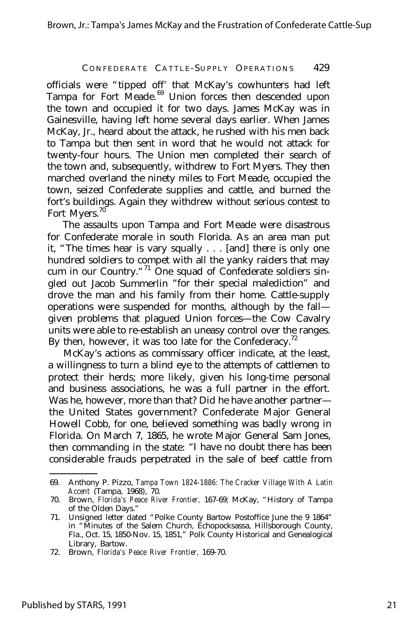officials were "tipped off' that McKay's cowhunters had left Tampa for Fort Meade.<sup>69</sup> Union forces then descended upon the town and occupied it for two days. James McKay was in Gainesville, having left home several days earlier. When James McKay, Jr., heard about the attack, he rushed with his men back to Tampa but then sent in word that he would not attack for twenty-four hours. The Union men completed their search of the town and, subsequently, withdrew to Fort Myers. They then marched overland the ninety miles to Fort Meade, occupied the town, seized Confederate supplies and cattle, and burned the fort's buildings. Again they withdrew without serious contest to Fort Myers.<sup>70</sup>

The assaults upon Tampa and Fort Meade were disastrous for Confederate morale in south Florida. As an area man put it, "The times hear is vary squally . . . [and] there is only one hundred soldiers to compet with all the yanky raiders that may cum in our Country.  $1\overline{}$  One squad of Confederate soldiers singled out Jacob Summerlin "for their special malediction" and drove the man and his family from their home. Cattle-supply operations were suspended for months, although by the fall given problems that plagued Union forces— the Cow Cavalry units were able to re-establish an uneasy control over the ranges. By then, however, it was too late for the Confederacy.<sup>72</sup>

McKay's actions as commissary officer indicate, at the least, a willingness to turn a blind eye to the attempts of cattlemen to protect their herds; more likely, given his long-time personal and business associations, he was a full partner in the effort. Was he, however, more than that? Did he have another partner the United States government? Confederate Major General Howell Cobb, for one, believed something was badly wrong in Florida. On March 7, 1865, he wrote Major General Sam Jones, then commanding in the state: "I have no doubt there has been considerable frauds perpetrated in the sale of beef cattle from

<sup>69.</sup> Anthony P. Pizzo, *Tampa Town 1824-1886: The Cracker Village With A Latin Accent* (Tampa, 1968), 70.

<sup>70.</sup> Brown, *Florida's Peace River Frontier,* 167-69; McKay, "History of Tampa of the Olden Days."

<sup>71.</sup> Unsigned letter dated "Polke County Bartow Postoffice June the 9 1864" in "Minutes of the Salem Church, Echopocksassa, Hillsborough County, Fla., Oct. 15, 1850-Nov. 15, 1851," Polk County Historical and Genealogical Library, Bartow.

<sup>72.</sup> Brown, *Florida's Peace River Frontier,* 169-70.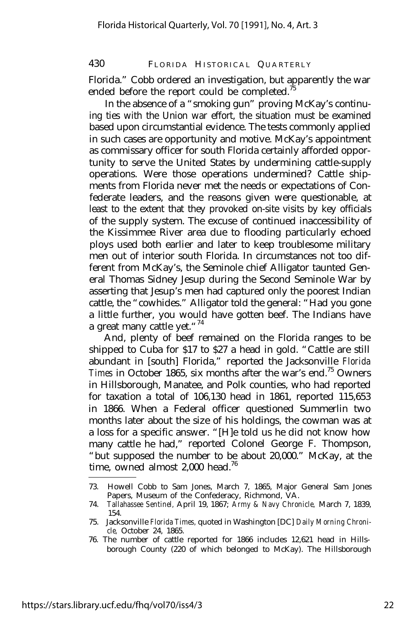Florida." Cobb ordered an investigation, but apparently the war ended before the report could be completed.<sup>75</sup>

In the absence of a "smoking gun" proving McKay's continuing ties with the Union war effort, the situation must be examined based upon circumstantial evidence. The tests commonly applied in such cases are opportunity and motive. McKay's appointment as commissary officer for south Florida certainly afforded opportunity to serve the United States by undermining cattle-supply operations. Were those operations undermined? Cattle shipments from Florida never met the needs or expectations of Confederate leaders, and the reasons given were questionable, at least to the extent that they provoked on-site visits by key officials of the supply system. The excuse of continued inaccessibility of the Kissimmee River area due to flooding particularly echoed ploys used both earlier and later to keep troublesome military men out of interior south Florida. In circumstances not too different from McKay's, the Seminole chief Alligator taunted General Thomas Sidney Jesup during the Second Seminole War by asserting that Jesup's men had captured only the poorest Indian cattle, the "cowhides." Alligator told the general: "Had you gone a little further, you would have gotten beef. The Indians have a great many cattle yet." $74$ 

And, plenty of beef remained on the Florida ranges to be shipped to Cuba for \$17 to \$27 a head in gold. "Cattle are still abundant in [south] Florida," reported the Jacksonville *Florida Times* in October 1865, six months after the war's end.<sup>75</sup> Owners in Hillsborough, Manatee, and Polk counties, who had reported for taxation a total of 106,130 head in 1861, reported 115,653 in 1866. When a Federal officer questioned Summerlin two months later about the size of his holdings, the cowman was at a loss for a specific answer. "[H]e told us he did not know how many cattle he had," reported Colonel George F. Thompson, "but supposed the number to be about 20,000." McKay, at the time, owned almost  $2,000$  head.<sup>76</sup>

<sup>73.</sup> Howell Cobb to Sam Jones, March 7, 1865, Major General Sam Jones Papers, Museum of the Confederacy, Richmond, VA.

<sup>74.</sup> *Tallahassee Sentinel,* April 19, 1867; *Army & Navy Chronicle,* March 7, 1839, 154.

<sup>75.</sup> Jacksonville *Florida Times,* quoted in Washington [DC] *Daily Morning Chronicle,* October 24, 1865.

<sup>76.</sup> The number of cattle reported for 1866 includes 12,621 head in Hillsborough County (220 of which belonged to McKay). The Hillsborough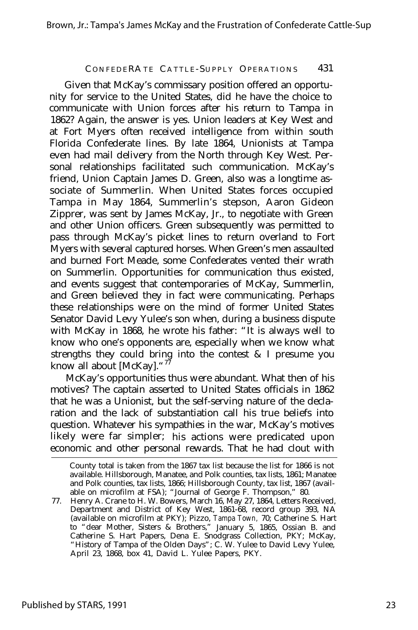Given that McKay's commissary position offered an opportunity for service to the United States, did he have the choice to communicate with Union forces after his return to Tampa in 1862? Again, the answer is yes. Union leaders at Key West and at Fort Myers often received intelligence from within south Florida Confederate lines. By late 1864, Unionists at Tampa even had mail delivery from the North through Key West. Personal relationships facilitated such communication. McKay's friend, Union Captain James D. Green, also was a longtime associate of Summerlin. When United States forces occupied Tampa in May 1864, Summerlin's stepson, Aaron Gideon Zipprer, was sent by James McKay, Jr., to negotiate with Green and other Union officers. Green subsequently was permitted to pass through McKay's picket lines to return overland to Fort Myers with several captured horses. When Green's men assaulted and burned Fort Meade, some Confederates vented their wrath on Summerlin. Opportunities for communication thus existed, and events suggest that contemporaries of McKay, Summerlin, and Green believed they in fact were communicating. Perhaps these relationships were on the mind of former United States Senator David Levy Yulee's son when, during a business dispute with McKay in 1868, he wrote his father: "It is always well to know who one's opponents are, especially when we know what strengths they could bring into the contest & I presume you know all about [McKay]. "77

McKay's opportunities thus were abundant. What then of his motives? The captain asserted to United States officials in 1862 that he was a Unionist, but the self-serving nature of the declaration and the lack of substantiation call his true beliefs into question. Whatever his sympathies in the war, McKay's motives likely were far simpler; his actions were predicated upon economic and other personal rewards. That he had clout with

County total is taken from the 1867 tax list because the list for 1866 is not available. Hillsborough, Manatee, and Polk counties, tax lists, 1861; Manatee and Polk counties, tax lists, 1866; Hillsborough County, tax list, 1867 (available on microfilm at FSA); "Journal of George F. Thompson," 80.

<sup>77.</sup> Henry A. Crane to H. W. Bowers, March 16, May 27, 1864, Letters Received, Department and District of Key West, 1861-68, record group 393, NA (available on microfilm at PKY); Pizzo, *Tampa Town,* 70; Catherine S. Hart to "dear Mother, Sisters & Brothers," January 5, 1865, Ossian B. and Catherine S. Hart Papers, Dena E. Snodgrass Collection, PKY; McKay, "History of Tampa of the Olden Days"; C. W. Yulee to David Levy Yulee, April 23, 1868, box 41, David L. Yulee Papers, PKY.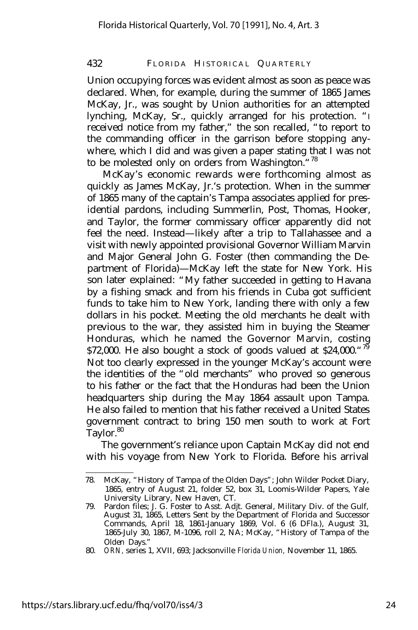Union occupying forces was evident almost as soon as peace was declared. When, for example, during the summer of 1865 James McKay, Jr., was sought by Union authorities for an attempted lynching, McKay, Sr., quickly arranged for his protection. "I received notice from my father," the son recalled, "to report to the commanding officer in the garrison before stopping anywhere, which I did and was given a paper stating that I was not to be molested only on orders from Washington. "<sup>78</sup>

McKay's economic rewards were forthcoming almost as quickly as James McKay, Jr.'s protection. When in the summer of 1865 many of the captain's Tampa associates applied for presidential pardons, including Summerlin, Post, Thomas, Hooker, and Taylor, the former commissary officer apparently did not feel the need. Instead— likely after a trip to Tallahassee and a visit with newly appointed provisional Governor William Marvin and Major General John G. Foster (then commanding the Department of Florida)— McKay left the state for New York. His son later explained: "My father succeeded in getting to Havana by a fishing smack and from his friends in Cuba got sufficient funds to take him to New York, landing there with only a few dollars in his pocket. Meeting the old merchants he dealt with previous to the war, they assisted him in buying the Steamer Honduras, which he named the Governor Marvin, costing \$72,000. He also bought a stock of goods valued at \$24,000.  $\frac{79}{19}$ Not too clearly expressed in the younger McKay's account were the identities of the "old merchants" who proved so generous to his father or the fact that the Honduras had been the Union headquarters ship during the May 1864 assault upon Tampa. He also failed to mention that his father received a United States government contract to bring 150 men south to work at Fort Taylor.<sup>80</sup>

The government's reliance upon Captain McKay did not end with his voyage from New York to Florida. Before his arrival

<sup>78.</sup> McKay, "History of Tampa of the Olden Days"; John Wilder Pocket Diary, 1865, entry of August 21, folder 52, box 31, Loomis-Wilder Papers, Yale University Library, New Haven, CT.

<sup>79.</sup> Pardon files; J. G. Foster to Asst. Adjt. General, Military Div. of the Gulf, August 31, 1865, Letters Sent by the Department of Florida and Successor Commands, April 18, 1861-January 1869, Vol. 6 (6 DFla.), August 31, 1865-July 30, 1867, M-1096, roll 2, NA; McKay, "History of Tampa of the Olden Days."

<sup>80.</sup> *ORN,* series 1, XVII, 693; Jacksonville *Florida Union,* November 11, 1865.